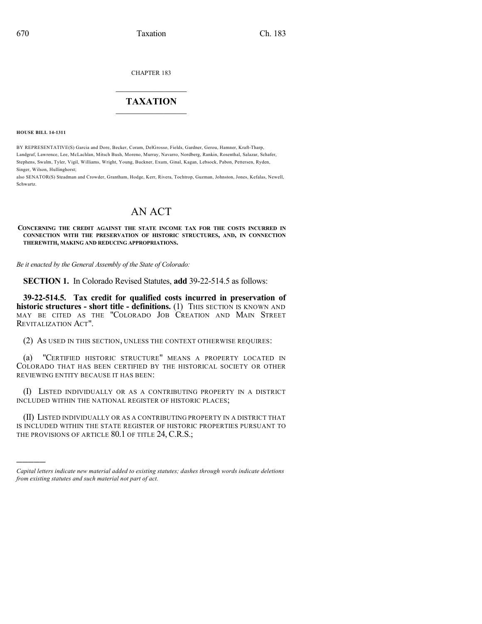CHAPTER 183

## $\overline{\phantom{a}}$  . The set of the set of the set of the set of the set of the set of the set of the set of the set of the set of the set of the set of the set of the set of the set of the set of the set of the set of the set o **TAXATION**  $\_$

**HOUSE BILL 14-1311**

)))))

BY REPRESENTATIVE(S) Garcia and Dore, Becker, Coram, DelGrosso, Fields, Gardner, Gerou, Hamner, Kraft-Tharp, Landgraf, Lawrence, Lee, McLachlan, Mitsch Bush, Moreno, Murray, Navarro, Nordberg, Rankin, Rosenthal, Salazar, Schafer, Stephens, Swalm, Tyler, Vigil, Williams, Wright, Young, Buckner, Exum, Ginal, Kagan, Lebsock, Pabon, Pettersen, Ryden, Singer, Wilson, Hullinghorst;

also SENATOR(S) Steadman and Crowder, Grantham, Hodge, Kerr, Rivera, Tochtrop, Guzman, Johnston, Jones, Kefalas, Newell, Schwartz.

# AN ACT

**CONCERNING THE CREDIT AGAINST THE STATE INCOME TAX FOR THE COSTS INCURRED IN CONNECTION WITH THE PRESERVATION OF HISTORIC STRUCTURES, AND, IN CONNECTION THEREWITH, MAKING AND REDUCING APPROPRIATIONS.**

*Be it enacted by the General Assembly of the State of Colorado:*

**SECTION 1.** In Colorado Revised Statutes, **add** 39-22-514.5 as follows:

**39-22-514.5. Tax credit for qualified costs incurred in preservation of historic structures - short title - definitions.** (1) THIS SECTION IS KNOWN AND MAY BE CITED AS THE "COLORADO JOB CREATION AND MAIN STREET REVITALIZATION ACT".

(2) AS USED IN THIS SECTION, UNLESS THE CONTEXT OTHERWISE REQUIRES:

(a) "CERTIFIED HISTORIC STRUCTURE" MEANS A PROPERTY LOCATED IN COLORADO THAT HAS BEEN CERTIFIED BY THE HISTORICAL SOCIETY OR OTHER REVIEWING ENTITY BECAUSE IT HAS BEEN:

(I) LISTED INDIVIDUALLY OR AS A CONTRIBUTING PROPERTY IN A DISTRICT INCLUDED WITHIN THE NATIONAL REGISTER OF HISTORIC PLACES;

(II) LISTED INDIVIDUALLY OR AS A CONTRIBUTING PROPERTY IN A DISTRICT THAT IS INCLUDED WITHIN THE STATE REGISTER OF HISTORIC PROPERTIES PURSUANT TO THE PROVISIONS OF ARTICLE 80.1 OF TITLE 24, C.R.S.;

*Capital letters indicate new material added to existing statutes; dashes through words indicate deletions from existing statutes and such material not part of act.*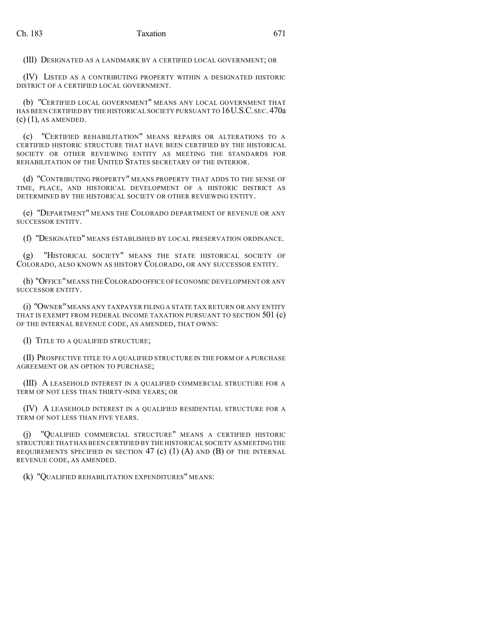(III) DESIGNATED AS A LANDMARK BY A CERTIFIED LOCAL GOVERNMENT; OR

(IV) LISTED AS A CONTRIBUTING PROPERTY WITHIN A DESIGNATED HISTORIC DISTRICT OF A CERTIFIED LOCAL GOVERNMENT.

(b) "CERTIFIED LOCAL GOVERNMENT" MEANS ANY LOCAL GOVERNMENT THAT HAS BEEN CERTIFIED BY THE HISTORICAL SOCIETY PURSUANT TO 16U.S.C.SEC. 470a (c) (1), AS AMENDED.

(c) "CERTIFIED REHABILITATION" MEANS REPAIRS OR ALTERATIONS TO A CERTIFIED HISTORIC STRUCTURE THAT HAVE BEEN CERTIFIED BY THE HISTORICAL SOCIETY OR OTHER REVIEWING ENTITY AS MEETING THE STANDARDS FOR REHABILITATION OF THE UNITED STATES SECRETARY OF THE INTERIOR.

(d) "CONTRIBUTING PROPERTY" MEANS PROPERTY THAT ADDS TO THE SENSE OF TIME, PLACE, AND HISTORICAL DEVELOPMENT OF A HISTORIC DISTRICT AS DETERMINED BY THE HISTORICAL SOCIETY OR OTHER REVIEWING ENTITY.

(e) "DEPARTMENT" MEANS THE COLORADO DEPARTMENT OF REVENUE OR ANY SUCCESSOR ENTITY.

(f) "DESIGNATED" MEANS ESTABLISHED BY LOCAL PRESERVATION ORDINANCE.

(g) "HISTORICAL SOCIETY" MEANS THE STATE HISTORICAL SOCIETY OF COLORADO, ALSO KNOWN AS HISTORY COLORADO, OR ANY SUCCESSOR ENTITY.

(h) "OFFICE" MEANS THE COLORADO OFFICE OF ECONOMIC DEVELOPMENT OR ANY SUCCESSOR ENTITY.

(i) "OWNER"MEANS ANY TAXPAYER FILING A STATE TAX RETURN OR ANY ENTITY THAT IS EXEMPT FROM FEDERAL INCOME TAXATION PURSUANT TO SECTION 501 (c) OF THE INTERNAL REVENUE CODE, AS AMENDED, THAT OWNS:

(I) TITLE TO A QUALIFIED STRUCTURE;

(II) PROSPECTIVE TITLE TO A QUALIFIED STRUCTURE IN THE FORM OF A PURCHASE AGREEMENT OR AN OPTION TO PURCHASE;

(III) A LEASEHOLD INTEREST IN A QUALIFIED COMMERCIAL STRUCTURE FOR A TERM OF NOT LESS THAN THIRTY-NINE YEARS; OR

(IV) A LEASEHOLD INTEREST IN A QUALIFIED RESIDENTIAL STRUCTURE FOR A TERM OF NOT LESS THAN FIVE YEARS.

(j) "QUALIFIED COMMERCIAL STRUCTURE" MEANS A CERTIFIED HISTORIC STRUCTURE THAT HAS BEEN CERTIFIED BY THE HISTORICAL SOCIETY AS MEETING THE REQUIREMENTS SPECIFIED IN SECTION 47 (c)  $(1)$   $(A)$  and  $(B)$  of the Internal REVENUE CODE, AS AMENDED.

(k) "QUALIFIED REHABILITATION EXPENDITURES" MEANS: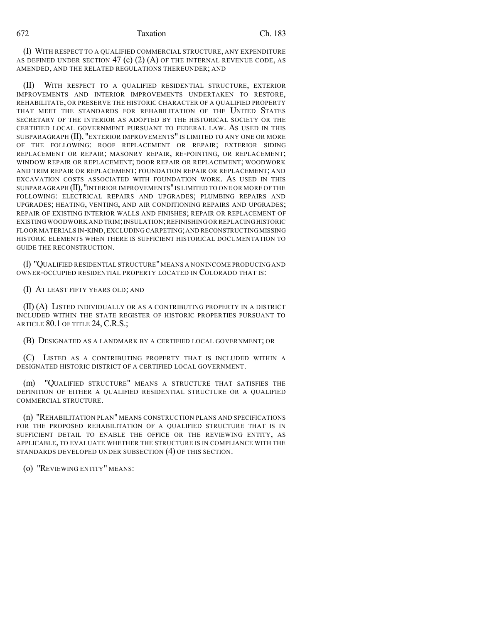(I) WITH RESPECT TO A QUALIFIED COMMERCIAL STRUCTURE, ANY EXPENDITURE AS DEFINED UNDER SECTION 47 (c)  $(2)$  (A) of the internal revenue code, as AMENDED, AND THE RELATED REGULATIONS THEREUNDER; AND

(II) WITH RESPECT TO A QUALIFIED RESIDENTIAL STRUCTURE, EXTERIOR IMPROVEMENTS AND INTERIOR IMPROVEMENTS UNDERTAKEN TO RESTORE, REHABILITATE, OR PRESERVE THE HISTORIC CHARACTER OF A QUALIFIED PROPERTY THAT MEET THE STANDARDS FOR REHABILITATION OF THE UNITED STATES SECRETARY OF THE INTERIOR AS ADOPTED BY THE HISTORICAL SOCIETY OR THE CERTIFIED LOCAL GOVERNMENT PURSUANT TO FEDERAL LAW. AS USED IN THIS SUBPARAGRAPH (II), "EXTERIOR IMPROVEMENTS" IS LIMITED TO ANY ONE OR MORE OF THE FOLLOWING: ROOF REPLACEMENT OR REPAIR; EXTERIOR SIDING REPLACEMENT OR REPAIR; MASONRY REPAIR, RE-POINTING, OR REPLACEMENT; WINDOW REPAIR OR REPLACEMENT; DOOR REPAIR OR REPLACEMENT; WOODWORK AND TRIM REPAIR OR REPLACEMENT; FOUNDATION REPAIR OR REPLACEMENT; AND EXCAVATION COSTS ASSOCIATED WITH FOUNDATION WORK. AS USED IN THIS SUBPARAGRAPH (II),"INTERIOR IMPROVEMENTS"IS LIMITED TO ONE OR MORE OF THE FOLLOWING: ELECTRICAL REPAIRS AND UPGRADES; PLUMBING REPAIRS AND UPGRADES; HEATING, VENTING, AND AIR CONDITIONING REPAIRS AND UPGRADES; REPAIR OF EXISTING INTERIOR WALLS AND FINISHES; REPAIR OR REPLACEMENT OF EXISTING WOODWORK AND TRIM; INSULATION; REFINISHING OR REPLACING HISTORIC FLOOR MATERIALS IN-KIND,EXCLUDING CARPETING;AND RECONSTRUCTINGMISSING HISTORIC ELEMENTS WHEN THERE IS SUFFICIENT HISTORICAL DOCUMENTATION TO GUIDE THE RECONSTRUCTION.

(l) "QUALIFIED RESIDENTIAL STRUCTURE"MEANS A NONINCOME PRODUCING AND OWNER-OCCUPIED RESIDENTIAL PROPERTY LOCATED IN COLORADO THAT IS:

(I) AT LEAST FIFTY YEARS OLD; AND

(II) (A) LISTED INDIVIDUALLY OR AS A CONTRIBUTING PROPERTY IN A DISTRICT INCLUDED WITHIN THE STATE REGISTER OF HISTORIC PROPERTIES PURSUANT TO ARTICLE 80.1 OF TITLE 24, C.R.S.;

(B) DESIGNATED AS A LANDMARK BY A CERTIFIED LOCAL GOVERNMENT; OR

(C) LISTED AS A CONTRIBUTING PROPERTY THAT IS INCLUDED WITHIN A DESIGNATED HISTORIC DISTRICT OF A CERTIFIED LOCAL GOVERNMENT.

(m) "QUALIFIED STRUCTURE" MEANS A STRUCTURE THAT SATISFIES THE DEFINITION OF EITHER A QUALIFIED RESIDENTIAL STRUCTURE OR A QUALIFIED COMMERCIAL STRUCTURE.

(n) "REHABILITATION PLAN" MEANS CONSTRUCTION PLANS AND SPECIFICATIONS FOR THE PROPOSED REHABILITATION OF A QUALIFIED STRUCTURE THAT IS IN SUFFICIENT DETAIL TO ENABLE THE OFFICE OR THE REVIEWING ENTITY, AS APPLICABLE, TO EVALUATE WHETHER THE STRUCTURE IS IN COMPLIANCE WITH THE STANDARDS DEVELOPED UNDER SUBSECTION (4) OF THIS SECTION.

(o) "REVIEWING ENTITY" MEANS: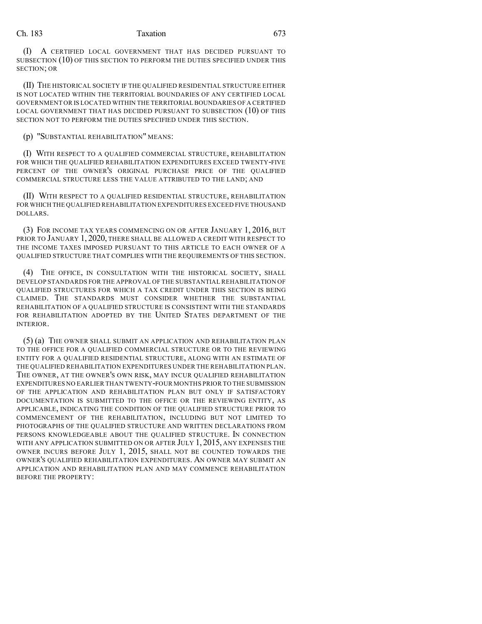(I) A CERTIFIED LOCAL GOVERNMENT THAT HAS DECIDED PURSUANT TO SUBSECTION (10) OF THIS SECTION TO PERFORM THE DUTIES SPECIFIED UNDER THIS SECTION; OR

(II) THE HISTORICAL SOCIETY IF THE QUALIFIED RESIDENTIAL STRUCTURE EITHER IS NOT LOCATED WITHIN THE TERRITORIAL BOUNDARIES OF ANY CERTIFIED LOCAL GOVERNMENT OR IS LOCATED WITHIN THE TERRITORIAL BOUNDARIES OF A CERTIFIED LOCAL GOVERNMENT THAT HAS DECIDED PURSUANT TO SUBSECTION (10) OF THIS SECTION NOT TO PERFORM THE DUTIES SPECIFIED UNDER THIS SECTION.

(p) "SUBSTANTIAL REHABILITATION" MEANS:

(I) WITH RESPECT TO A QUALIFIED COMMERCIAL STRUCTURE, REHABILITATION FOR WHICH THE QUALIFIED REHABILITATION EXPENDITURES EXCEED TWENTY-FIVE PERCENT OF THE OWNER'S ORIGINAL PURCHASE PRICE OF THE OUALIFIED COMMERCIAL STRUCTURE LESS THE VALUE ATTRIBUTED TO THE LAND; AND

(II) WITH RESPECT TO A QUALIFIED RESIDENTIAL STRUCTURE, REHABILITATION FOR WHICH THE QUALIFIED REHABILITATION EXPENDITURES EXCEED FIVE THOUSAND DOLLARS.

(3) FOR INCOME TAX YEARS COMMENCING ON OR AFTER JANUARY 1, 2016, BUT PRIOR TO JANUARY 1, 2020, THERE SHALL BE ALLOWED A CREDIT WITH RESPECT TO THE INCOME TAXES IMPOSED PURSUANT TO THIS ARTICLE TO EACH OWNER OF A QUALIFIED STRUCTURE THAT COMPLIES WITH THE REQUIREMENTS OF THIS SECTION.

(4) THE OFFICE, IN CONSULTATION WITH THE HISTORICAL SOCIETY, SHALL DEVELOP STANDARDS FOR THE APPROVAL OF THE SUBSTANTIAL REHABILITATION OF QUALIFIED STRUCTURES FOR WHICH A TAX CREDIT UNDER THIS SECTION IS BEING CLAIMED. THE STANDARDS MUST CONSIDER WHETHER THE SUBSTANTIAL REHABILITATION OF A QUALIFIED STRUCTURE IS CONSISTENT WITH THE STANDARDS FOR REHABILITATION ADOPTED BY THE UNITED STATES DEPARTMENT OF THE INTERIOR.

(5) (a) THE OWNER SHALL SUBMIT AN APPLICATION AND REHABILITATION PLAN TO THE OFFICE FOR A QUALIFIED COMMERCIAL STRUCTURE OR TO THE REVIEWING ENTITY FOR A QUALIFIED RESIDENTIAL STRUCTURE, ALONG WITH AN ESTIMATE OF THE QUALIFIED REHABILITATION EXPENDITURES UNDER THE REHABILITATION PLAN. THE OWNER, AT THE OWNER'S OWN RISK, MAY INCUR QUALIFIED REHABILITATION EXPENDITURES NO EARLIER THAN TWENTY-FOUR MONTHS PRIOR TO THE SUBMISSION OF THE APPLICATION AND REHABILITATION PLAN BUT ONLY IF SATISFACTORY DOCUMENTATION IS SUBMITTED TO THE OFFICE OR THE REVIEWING ENTITY, AS APPLICABLE, INDICATING THE CONDITION OF THE QUALIFIED STRUCTURE PRIOR TO COMMENCEMENT OF THE REHABILITATION, INCLUDING BUT NOT LIMITED TO PHOTOGRAPHS OF THE QUALIFIED STRUCTURE AND WRITTEN DECLARATIONS FROM PERSONS KNOWLEDGEABLE ABOUT THE QUALIFIED STRUCTURE. IN CONNECTION WITH ANY APPLICATION SUBMITTED ON OR AFTER JULY 1, 2015, ANY EXPENSES THE OWNER INCURS BEFORE JULY 1, 2015, SHALL NOT BE COUNTED TOWARDS THE OWNER'S QUALIFIED REHABILITATION EXPENDITURES. AN OWNER MAY SUBMIT AN APPLICATION AND REHABILITATION PLAN AND MAY COMMENCE REHABILITATION BEFORE THE PROPERTY: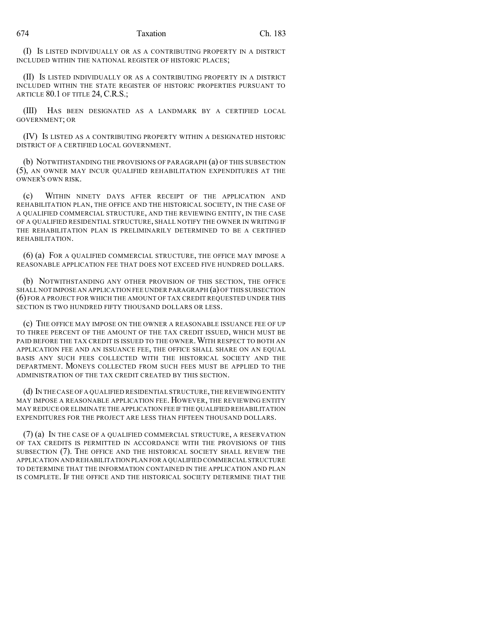(I) IS LISTED INDIVIDUALLY OR AS A CONTRIBUTING PROPERTY IN A DISTRICT INCLUDED WITHIN THE NATIONAL REGISTER OF HISTORIC PLACES;

(II) IS LISTED INDIVIDUALLY OR AS A CONTRIBUTING PROPERTY IN A DISTRICT INCLUDED WITHIN THE STATE REGISTER OF HISTORIC PROPERTIES PURSUANT TO ARTICLE 80.1 OF TITLE 24, C.R.S.;

(III) HAS BEEN DESIGNATED AS A LANDMARK BY A CERTIFIED LOCAL GOVERNMENT; OR

(IV) IS LISTED AS A CONTRIBUTING PROPERTY WITHIN A DESIGNATED HISTORIC DISTRICT OF A CERTIFIED LOCAL GOVERNMENT.

(b) NOTWITHSTANDING THE PROVISIONS OF PARAGRAPH (a) OF THIS SUBSECTION (5), AN OWNER MAY INCUR QUALIFIED REHABILITATION EXPENDITURES AT THE OWNER'S OWN RISK.

(c) WITHIN NINETY DAYS AFTER RECEIPT OF THE APPLICATION AND REHABILITATION PLAN, THE OFFICE AND THE HISTORICAL SOCIETY, IN THE CASE OF A QUALIFIED COMMERCIAL STRUCTURE, AND THE REVIEWING ENTITY, IN THE CASE OF A QUALIFIED RESIDENTIAL STRUCTURE, SHALL NOTIFY THE OWNER IN WRITING IF THE REHABILITATION PLAN IS PRELIMINARILY DETERMINED TO BE A CERTIFIED REHABILITATION.

(6) (a) FOR A QUALIFIED COMMERCIAL STRUCTURE, THE OFFICE MAY IMPOSE A REASONABLE APPLICATION FEE THAT DOES NOT EXCEED FIVE HUNDRED DOLLARS.

(b) NOTWITHSTANDING ANY OTHER PROVISION OF THIS SECTION, THE OFFICE SHALL NOT IMPOSE AN APPLICATION FEE UNDER PARAGRAPH (a) OF THIS SUBSECTION (6) FOR A PROJECT FOR WHICH THE AMOUNT OF TAX CREDIT REQUESTED UNDER THIS SECTION IS TWO HUNDRED FIFTY THOUSAND DOLLARS OR LESS.

(c) THE OFFICE MAY IMPOSE ON THE OWNER A REASONABLE ISSUANCE FEE OF UP TO THREE PERCENT OF THE AMOUNT OF THE TAX CREDIT ISSUED, WHICH MUST BE PAID BEFORE THE TAX CREDIT IS ISSUED TO THE OWNER. WITH RESPECT TO BOTH AN APPLICATION FEE AND AN ISSUANCE FEE, THE OFFICE SHALL SHARE ON AN EQUAL BASIS ANY SUCH FEES COLLECTED WITH THE HISTORICAL SOCIETY AND THE DEPARTMENT. MONEYS COLLECTED FROM SUCH FEES MUST BE APPLIED TO THE ADMINISTRATION OF THE TAX CREDIT CREATED BY THIS SECTION.

(d) IN THECASE OF A QUALIFIED RESIDENTIAL STRUCTURE,THE REVIEWING ENTITY MAY IMPOSE A REASONABLE APPLICATION FEE. HOWEVER, THE REVIEWING ENTITY MAY REDUCE OR ELIMINATE THE APPLICATION FEE IFTHE QUALIFIED REHABILITATION EXPENDITURES FOR THE PROJECT ARE LESS THAN FIFTEEN THOUSAND DOLLARS.

(7) (a) IN THE CASE OF A QUALIFIED COMMERCIAL STRUCTURE, A RESERVATION OF TAX CREDITS IS PERMITTED IN ACCORDANCE WITH THE PROVISIONS OF THIS SUBSECTION (7). THE OFFICE AND THE HISTORICAL SOCIETY SHALL REVIEW THE APPLICATION AND REHABILITATION PLAN FOR A QUALIFIED COMMERCIAL STRUCTURE TO DETERMINE THAT THE INFORMATION CONTAINED IN THE APPLICATION AND PLAN IS COMPLETE. IF THE OFFICE AND THE HISTORICAL SOCIETY DETERMINE THAT THE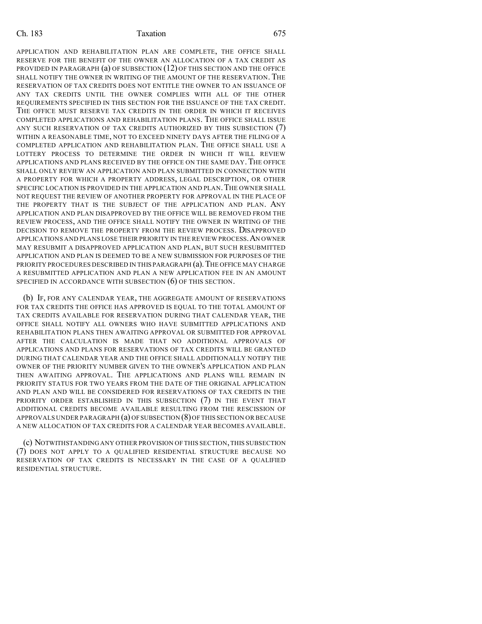APPLICATION AND REHABILITATION PLAN ARE COMPLETE, THE OFFICE SHALL RESERVE FOR THE BENEFIT OF THE OWNER AN ALLOCATION OF A TAX CREDIT AS PROVIDED IN PARAGRAPH (a) OF SUBSECTION (12) OF THIS SECTION AND THE OFFICE SHALL NOTIFY THE OWNER IN WRITING OF THE AMOUNT OF THE RESERVATION. THE RESERVATION OF TAX CREDITS DOES NOT ENTITLE THE OWNER TO AN ISSUANCE OF ANY TAX CREDITS UNTIL THE OWNER COMPLIES WITH ALL OF THE OTHER REQUIREMENTS SPECIFIED IN THIS SECTION FOR THE ISSUANCE OF THE TAX CREDIT. THE OFFICE MUST RESERVE TAX CREDITS IN THE ORDER IN WHICH IT RECEIVES COMPLETED APPLICATIONS AND REHABILITATION PLANS. THE OFFICE SHALL ISSUE ANY SUCH RESERVATION OF TAX CREDITS AUTHORIZED BY THIS SUBSECTION (7) WITHIN A REASONABLE TIME, NOT TO EXCEED NINETY DAYS AFTER THE FILING OF A COMPLETED APPLICATION AND REHABILITATION PLAN. THE OFFICE SHALL USE A LOTTERY PROCESS TO DETERMINE THE ORDER IN WHICH IT WILL REVIEW APPLICATIONS AND PLANS RECEIVED BY THE OFFICE ON THE SAME DAY. THE OFFICE SHALL ONLY REVIEW AN APPLICATION AND PLAN SUBMITTED IN CONNECTION WITH A PROPERTY FOR WHICH A PROPERTY ADDRESS, LEGAL DESCRIPTION, OR OTHER SPECIFIC LOCATION IS PROVIDED IN THE APPLICATION AND PLAN. THE OWNER SHALL NOT REQUEST THE REVIEW OF ANOTHER PROPERTY FOR APPROVAL IN THE PLACE OF THE PROPERTY THAT IS THE SUBJECT OF THE APPLICATION AND PLAN. ANY APPLICATION AND PLAN DISAPPROVED BY THE OFFICE WILL BE REMOVED FROM THE REVIEW PROCESS, AND THE OFFICE SHALL NOTIFY THE OWNER IN WRITING OF THE DECISION TO REMOVE THE PROPERTY FROM THE REVIEW PROCESS. DISAPPROVED APPLICATIONS AND PLANS LOSE THEIR PRIORITY IN THE REVIEW PROCESS.AN OWNER MAY RESUBMIT A DISAPPROVED APPLICATION AND PLAN, BUT SUCH RESUBMITTED APPLICATION AND PLAN IS DEEMED TO BE A NEW SUBMISSION FOR PURPOSES OF THE PRIORITY PROCEDURES DESCRIBED IN THIS PARAGRAPH (a). THE OFFICE MAY CHARGE A RESUBMITTED APPLICATION AND PLAN A NEW APPLICATION FEE IN AN AMOUNT SPECIFIED IN ACCORDANCE WITH SUBSECTION  $(6)$  OF THIS SECTION.

(b) IF, FOR ANY CALENDAR YEAR, THE AGGREGATE AMOUNT OF RESERVATIONS FOR TAX CREDITS THE OFFICE HAS APPROVED IS EQUAL TO THE TOTAL AMOUNT OF TAX CREDITS AVAILABLE FOR RESERVATION DURING THAT CALENDAR YEAR, THE OFFICE SHALL NOTIFY ALL OWNERS WHO HAVE SUBMITTED APPLICATIONS AND REHABILITATION PLANS THEN AWAITING APPROVAL OR SUBMITTED FOR APPROVAL AFTER THE CALCULATION IS MADE THAT NO ADDITIONAL APPROVALS OF APPLICATIONS AND PLANS FOR RESERVATIONS OF TAX CREDITS WILL BE GRANTED DURING THAT CALENDAR YEAR AND THE OFFICE SHALL ADDITIONALLY NOTIFY THE OWNER OF THE PRIORITY NUMBER GIVEN TO THE OWNER'S APPLICATION AND PLAN THEN AWAITING APPROVAL. THE APPLICATIONS AND PLANS WILL REMAIN IN PRIORITY STATUS FOR TWO YEARS FROM THE DATE OF THE ORIGINAL APPLICATION AND PLAN AND WILL BE CONSIDERED FOR RESERVATIONS OF TAX CREDITS IN THE PRIORITY ORDER ESTABLISHED IN THIS SUBSECTION (7) IN THE EVENT THAT ADDITIONAL CREDITS BECOME AVAILABLE RESULTING FROM THE RESCISSION OF APPROVALS UNDER PARAGRAPH (a) OFSUBSECTION (8)OF THIS SECTION OR BECAUSE A NEW ALLOCATION OF TAX CREDITS FOR A CALENDAR YEAR BECOMES AVAILABLE.

(c) NOTWITHSTANDING ANY OTHER PROVISION OF THIS SECTION,THIS SUBSECTION (7) DOES NOT APPLY TO A QUALIFIED RESIDENTIAL STRUCTURE BECAUSE NO RESERVATION OF TAX CREDITS IS NECESSARY IN THE CASE OF A QUALIFIED RESIDENTIAL STRUCTURE.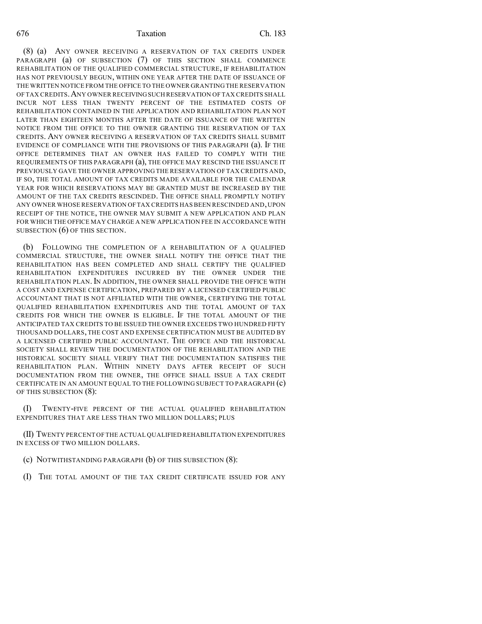(8) (a) ANY OWNER RECEIVING A RESERVATION OF TAX CREDITS UNDER PARAGRAPH (a) OF SUBSECTION (7) OF THIS SECTION SHALL COMMENCE REHABILITATION OF THE QUALIFIED COMMERCIAL STRUCTURE, IF REHABILITATION HAS NOT PREVIOUSLY BEGUN, WITHIN ONE YEAR AFTER THE DATE OF ISSUANCE OF THE WRITTEN NOTICE FROM THE OFFICE TO THE OWNER GRANTING THE RESERVATION OF TAX CREDITS.ANY OWNER RECEIVINGSUCH RESERVATION OF TAX CREDITS SHALL INCUR NOT LESS THAN TWENTY PERCENT OF THE ESTIMATED COSTS OF REHABILITATION CONTAINED IN THE APPLICATION AND REHABILITATION PLAN NOT LATER THAN EIGHTEEN MONTHS AFTER THE DATE OF ISSUANCE OF THE WRITTEN NOTICE FROM THE OFFICE TO THE OWNER GRANTING THE RESERVATION OF TAX CREDITS. ANY OWNER RECEIVING A RESERVATION OF TAX CREDITS SHALL SUBMIT EVIDENCE OF COMPLIANCE WITH THE PROVISIONS OF THIS PARAGRAPH (a). IF THE OFFICE DETERMINES THAT AN OWNER HAS FAILED TO COMPLY WITH THE REQUIREMENTS OF THIS PARAGRAPH (a), THE OFFICE MAY RESCIND THE ISSUANCE IT PREVIOUSLY GAVE THE OWNER APPROVING THE RESERVATION OF TAX CREDITS AND, IF SO, THE TOTAL AMOUNT OF TAX CREDITS MADE AVAILABLE FOR THE CALENDAR YEAR FOR WHICH RESERVATIONS MAY BE GRANTED MUST BE INCREASED BY THE AMOUNT OF THE TAX CREDITS RESCINDED. THE OFFICE SHALL PROMPTLY NOTIFY ANY OWNER WHOSE RESERVATION OFTAX CREDITS HAS BEEN RESCINDED AND,UPON RECEIPT OF THE NOTICE, THE OWNER MAY SUBMIT A NEW APPLICATION AND PLAN FOR WHICH THE OFFICE MAY CHARGE A NEW APPLICATION FEE IN ACCORDANCE WITH SUBSECTION  $(6)$  OF THIS SECTION.

(b) FOLLOWING THE COMPLETION OF A REHABILITATION OF A QUALIFIED COMMERCIAL STRUCTURE, THE OWNER SHALL NOTIFY THE OFFICE THAT THE REHABILITATION HAS BEEN COMPLETED AND SHALL CERTIFY THE QUALIFIED REHABILITATION EXPENDITURES INCURRED BY THE OWNER UNDER THE REHABILITATION PLAN. IN ADDITION, THE OWNER SHALL PROVIDE THE OFFICE WITH A COST AND EXPENSE CERTIFICATION, PREPARED BY A LICENSED CERTIFIED PUBLIC ACCOUNTANT THAT IS NOT AFFILIATED WITH THE OWNER, CERTIFYING THE TOTAL QUALIFIED REHABILITATION EXPENDITURES AND THE TOTAL AMOUNT OF TAX CREDITS FOR WHICH THE OWNER IS ELIGIBLE. IF THE TOTAL AMOUNT OF THE ANTICIPATED TAX CREDITS TO BE ISSUED THE OWNER EXCEEDS TWO HUNDRED FIFTY THOUSAND DOLLARS, THE COST AND EXPENSE CERTIFICATION MUST BE AUDITED BY A LICENSED CERTIFIED PUBLIC ACCOUNTANT. THE OFFICE AND THE HISTORICAL SOCIETY SHALL REVIEW THE DOCUMENTATION OF THE REHABILITATION AND THE HISTORICAL SOCIETY SHALL VERIFY THAT THE DOCUMENTATION SATISFIES THE REHABILITATION PLAN. WITHIN NINETY DAYS AFTER RECEIPT OF SUCH DOCUMENTATION FROM THE OWNER, THE OFFICE SHALL ISSUE A TAX CREDIT CERTIFICATE IN AN AMOUNT EQUAL TO THE FOLLOWING SUBJECT TO PARAGRAPH (c) OF THIS SUBSECTION (8):

(I) TWENTY-FIVE PERCENT OF THE ACTUAL QUALIFIED REHABILITATION EXPENDITURES THAT ARE LESS THAN TWO MILLION DOLLARS; PLUS

(II) TWENTY PERCENT OF THE ACTUAL QUALIFIED REHABILITATION EXPENDITURES IN EXCESS OF TWO MILLION DOLLARS.

- (c) NOTWITHSTANDING PARAGRAPH (b) OF THIS SUBSECTION (8):
- (I) THE TOTAL AMOUNT OF THE TAX CREDIT CERTIFICATE ISSUED FOR ANY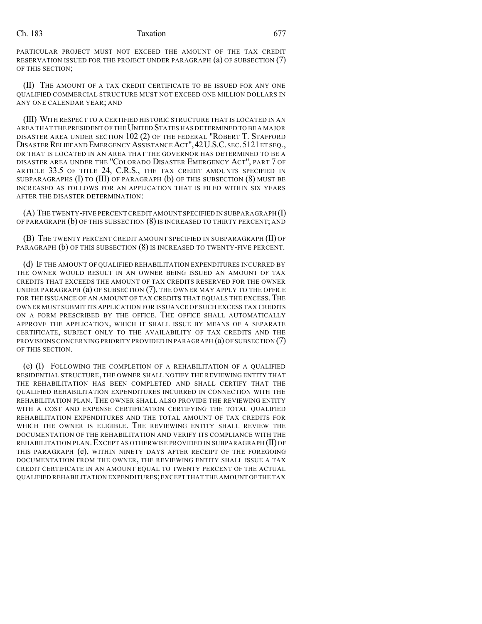PARTICULAR PROJECT MUST NOT EXCEED THE AMOUNT OF THE TAX CREDIT RESERVATION ISSUED FOR THE PROJECT UNDER PARAGRAPH (a) OF SUBSECTION (7) OF THIS SECTION;

(II) THE AMOUNT OF A TAX CREDIT CERTIFICATE TO BE ISSUED FOR ANY ONE QUALIFIED COMMERCIAL STRUCTURE MUST NOT EXCEED ONE MILLION DOLLARS IN ANY ONE CALENDAR YEAR; AND

(III) WITH RESPECT TO A CERTIFIED HISTORIC STRUCTURE THAT IS LOCATED IN AN AREA THAT THE PRESIDENT OF THE UNITED STATES HAS DETERMINED TO BE A MAJOR DISASTER AREA UNDER SECTION 102 (2) OF THE FEDERAL "ROBERT T. STAFFORD DISASTER RELIEF AND EMERGENCY ASSISTANCE ACT", 42 U.S.C. SEC. 5121 ET SEQ., OR THAT IS LOCATED IN AN AREA THAT THE GOVERNOR HAS DETERMINED TO BE A DISASTER AREA UNDER THE "COLORADO DISASTER EMERGENCY ACT", PART 7 OF ARTICLE 33.5 OF TITLE 24, C.R.S., THE TAX CREDIT AMOUNTS SPECIFIED IN SUBPARAGRAPHS (I) TO (III) OF PARAGRAPH (b) OF THIS SUBSECTION (8) MUST BE INCREASED AS FOLLOWS FOR AN APPLICATION THAT IS FILED WITHIN SIX YEARS AFTER THE DISASTER DETERMINATION:

(A) THE TWENTY-FIVE PERCENT CREDIT AMOUNT SPECIFIED IN SUBPARAGRAPH (I) OF PARAGRAPH (b) OF THIS SUBSECTION (8) IS INCREASED TO THIRTY PERCENT; AND

(B) THE TWENTY PERCENT CREDIT AMOUNT SPECIFIED IN SUBPARAGRAPH (II) OF PARAGRAPH  $(b)$  OF THIS SUBSECTION  $(8)$  is increased to twenty-five percent.

(d) IF THE AMOUNT OF QUALIFIED REHABILITATION EXPENDITURES INCURRED BY THE OWNER WOULD RESULT IN AN OWNER BEING ISSUED AN AMOUNT OF TAX CREDITS THAT EXCEEDS THE AMOUNT OF TAX CREDITS RESERVED FOR THE OWNER UNDER PARAGRAPH (a) OF SUBSECTION (7), THE OWNER MAY APPLY TO THE OFFICE FOR THE ISSUANCE OF AN AMOUNT OF TAX CREDITS THAT EQUALS THE EXCESS. THE OWNER MUST SUBMIT ITS APPLICATION FOR ISSUANCE OF SUCH EXCESS TAX CREDITS ON A FORM PRESCRIBED BY THE OFFICE. THE OFFICE SHALL AUTOMATICALLY APPROVE THE APPLICATION, WHICH IT SHALL ISSUE BY MEANS OF A SEPARATE CERTIFICATE, SUBJECT ONLY TO THE AVAILABILITY OF TAX CREDITS AND THE PROVISIONS CONCERNING PRIORITY PROVIDED IN PARAGRAPH (a) OF SUBSECTION (7) OF THIS SECTION.

(e) (I) FOLLOWING THE COMPLETION OF A REHABILITATION OF A QUALIFIED RESIDENTIAL STRUCTURE, THE OWNER SHALL NOTIFY THE REVIEWING ENTITY THAT THE REHABILITATION HAS BEEN COMPLETED AND SHALL CERTIFY THAT THE QUALIFIED REHABILITATION EXPENDITURES INCURRED IN CONNECTION WITH THE REHABILITATION PLAN. THE OWNER SHALL ALSO PROVIDE THE REVIEWING ENTITY WITH A COST AND EXPENSE CERTIFICATION CERTIFYING THE TOTAL QUALIFIED REHABILITATION EXPENDITURES AND THE TOTAL AMOUNT OF TAX CREDITS FOR WHICH THE OWNER IS ELIGIBLE. THE REVIEWING ENTITY SHALL REVIEW THE DOCUMENTATION OF THE REHABILITATION AND VERIFY ITS COMPLIANCE WITH THE REHABILITATION PLAN.EXCEPT AS OTHERWISE PROVIDED IN SUBPARAGRAPH (II) OF THIS PARAGRAPH (e), WITHIN NINETY DAYS AFTER RECEIPT OF THE FOREGOING DOCUMENTATION FROM THE OWNER, THE REVIEWING ENTITY SHALL ISSUE A TAX CREDIT CERTIFICATE IN AN AMOUNT EQUAL TO TWENTY PERCENT OF THE ACTUAL QUALIFIED REHABILITATION EXPENDITURES;EXCEPT THAT THE AMOUNT OF THE TAX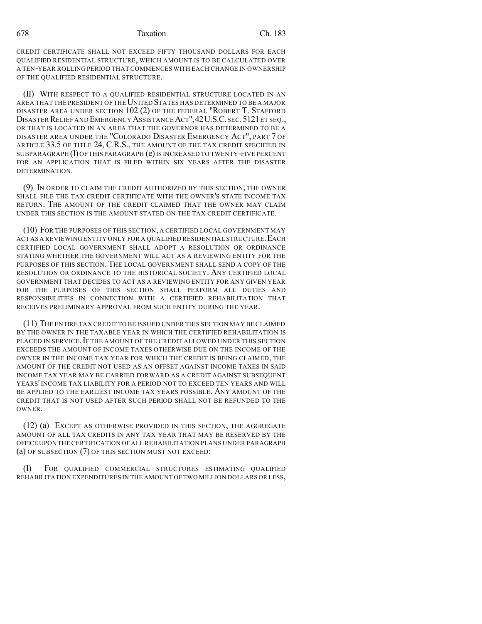CREDIT CERTIFICATE SHALL NOT EXCEED FIFTY THOUSAND DOLLARS FOR EACH QUALIFIED RESIDENTIAL STRUCTURE, WHICH AMOUNT IS TO BE CALCULATED OVER A TEN-YEAR ROLLING PERIOD THAT COMMENCES WITH EACH CHANGE IN OWNERSHIP OF THE QUALIFIED RESIDENTIAL STRUCTURE.

(II) WITH RESPECT TO A QUALIFIED RESIDENTIAL STRUCTURE LOCATED IN AN AREA THAT THE PRESIDENT OF THE UNITED STATES HAS DETERMINED TO BE A MAJOR DISASTER AREA UNDER SECTION 102 (2) OF THE FEDERAL "ROBERT T. STAFFORD DISASTER RELIEF AND EMERGENCY ASSISTANCE ACT", 42U.S.C. SEC. 5121 ET SEQ., OR THAT IS LOCATED IN AN AREA THAT THE GOVERNOR HAS DETERMINED TO BE A DISASTER AREA UNDER THE "COLORADO DISASTER EMERGENCY ACT", PART 7 OF ARTICLE 33.5 OF TITLE 24, C.R.S., THE AMOUNT OF THE TAX CREDIT SPECIFIED IN SUBPARAGRAPH  $(I)$  OF THIS PARAGRAPH  $(e)$  is increased to twenty-five percent FOR AN APPLICATION THAT IS FILED WITHIN SIX YEARS AFTER THE DISASTER DETERMINATION.

(9) IN ORDER TO CLAIM THE CREDIT AUTHORIZED BY THIS SECTION, THE OWNER SHALL FILE THE TAX CREDIT CERTIFICATE WITH THE OWNER'S STATE INCOME TAX RETURN. THE AMOUNT OF THE CREDIT CLAIMED THAT THE OWNER MAY CLAIM UNDER THIS SECTION IS THE AMOUNT STATED ON THE TAX CREDIT CERTIFICATE.

(10) FOR THE PURPOSES OF THIS SECTION, A CERTIFIED LOCAL GOVERNMENT MAY ACT AS A REVIEWING ENTITY ONLY FOR A QUALIFIED RESIDENTIAL STRUCTURE. EACH CERTIFIED LOCAL GOVERNMENT SHALL ADOPT A RESOLUTION OR ORDINANCE STATING WHETHER THE GOVERNMENT WILL ACT AS A REVIEWING ENTITY FOR THE PURPOSES OF THIS SECTION. THE LOCAL GOVERNMENT SHALL SEND A COPY OF THE RESOLUTION OR ORDINANCE TO THE HISTORICAL SOCIETY. ANY CERTIFIED LOCAL GOVERNMENT THAT DECIDES TO ACT AS A REVIEWING ENTITY FOR ANY GIVEN YEAR FOR THE PURPOSES OF THIS SECTION SHALL PERFORM ALL DUTIES AND RESPONSIBILITIES IN CONNECTION WITH A CERTIFIED REHABILITATION THAT RECEIVES PRELIMINARY APPROVAL FROM SUCH ENTITY DURING THE YEAR.

(11) THE ENTIRE TAX CREDIT TO BE ISSUED UNDER THIS SECTION MAY BE CLAIMED BY THE OWNER IN THE TAXABLE YEAR IN WHICH THE CERTIFIED REHABILITATION IS PLACED IN SERVICE. IF THE AMOUNT OF THE CREDIT ALLOWED UNDER THIS SECTION EXCEEDS THE AMOUNT OF INCOME TAXES OTHERWISE DUE ON THE INCOME OF THE OWNER IN THE INCOME TAX YEAR FOR WHICH THE CREDIT IS BEING CLAIMED, THE AMOUNT OF THE CREDIT NOT USED AS AN OFFSET AGAINST INCOME TAXES IN SAID INCOME TAX YEAR MAY BE CARRIED FORWARD AS A CREDIT AGAINST SUBSEQUENT YEARS' INCOME TAX LIABILITY FOR A PERIOD NOT TO EXCEED TEN YEARS AND WILL BE APPLIED TO THE EARLIEST INCOME TAX YEARS POSSIBLE. ANY AMOUNT OF THE CREDIT THAT IS NOT USED AFTER SUCH PERIOD SHALL NOT BE REFUNDED TO THE OWNER.

(12) (a) EXCEPT AS OTHERWISE PROVIDED IN THIS SECTION, THE AGGREGATE AMOUNT OF ALL TAX CREDITS IN ANY TAX YEAR THAT MAY BE RESERVED BY THE OFFICE UPON THE CERTIFICATION OF ALL REHABILITATION PLANS UNDER PARAGRAPH (a) OF SUBSECTION (7) OF THIS SECTION MUST NOT EXCEED:

(I) FOR QUALIFIED COMMERCIAL STRUCTURES ESTIMATING QUALIFIED REHABILITATION EXPENDITURES IN THE AMOUNT OF TWO MILLION DOLLARS OR LESS,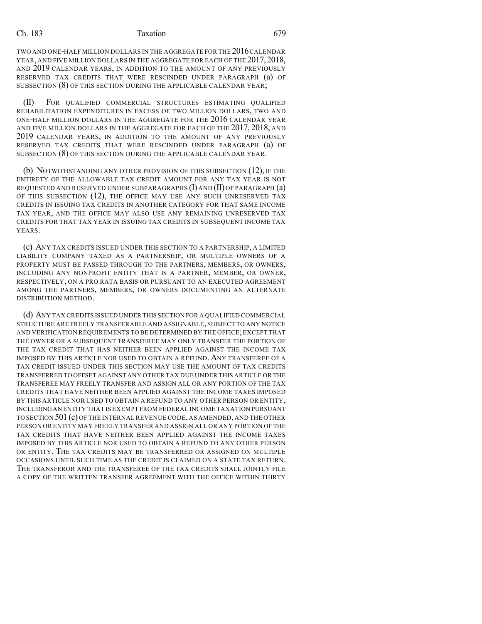TWO AND ONE-HALF MILLION DOLLARS IN THE AGGREGATE FOR THE 2016 CALENDAR YEAR, AND FIVE MILLION DOLLARS IN THE AGGREGATE FOR EACH OF THE 2017, 2018, AND 2019 CALENDAR YEARS, IN ADDITION TO THE AMOUNT OF ANY PREVIOUSLY RESERVED TAX CREDITS THAT WERE RESCINDED UNDER PARAGRAPH (a) OF SUBSECTION (8) OF THIS SECTION DURING THE APPLICABLE CALENDAR YEAR;

(II) FOR QUALIFIED COMMERCIAL STRUCTURES ESTIMATING QUALIFIED REHABILITATION EXPENDITURES IN EXCESS OF TWO MILLION DOLLARS, TWO AND ONE-HALF MILLION DOLLARS IN THE AGGREGATE FOR THE 2016 CALENDAR YEAR AND FIVE MILLION DOLLARS IN THE AGGREGATE FOR EACH OF THE 2017, 2018, AND 2019 CALENDAR YEARS, IN ADDITION TO THE AMOUNT OF ANY PREVIOUSLY RESERVED TAX CREDITS THAT WERE RESCINDED UNDER PARAGRAPH (a) OF SUBSECTION (8) OF THIS SECTION DURING THE APPLICABLE CALENDAR YEAR.

(b) NOTWITHSTANDING ANY OTHER PROVISION OF THIS SUBSECTION (12), IF THE ENTIRETY OF THE ALLOWABLE TAX CREDIT AMOUNT FOR ANY TAX YEAR IS NOT REQUESTED AND RESERVED UNDER SUBPARAGRAPHS (I) AND (II) OF PARAGRAPH (a) OF THIS SUBSECTION (12), THE OFFICE MAY USE ANY SUCH UNRESERVED TAX CREDITS IN ISSUING TAX CREDITS IN ANOTHER CATEGORY FOR THAT SAME INCOME TAX YEAR, AND THE OFFICE MAY ALSO USE ANY REMAINING UNRESERVED TAX CREDITS FOR THAT TAX YEAR IN ISSUING TAX CREDITS IN SUBSEQUENT INCOME TAX YEARS.

(c) ANY TAX CREDITS ISSUED UNDER THIS SECTION TO A PARTNERSHIP, A LIMITED LIABILITY COMPANY TAXED AS A PARTNERSHIP, OR MULTIPLE OWNERS OF A PROPERTY MUST BE PASSED THROUGH TO THE PARTNERS, MEMBERS, OR OWNERS, INCLUDING ANY NONPROFIT ENTITY THAT IS A PARTNER, MEMBER, OR OWNER, RESPECTIVELY, ON A PRO RATA BASIS OR PURSUANT TO AN EXECUTED AGREEMENT AMONG THE PARTNERS, MEMBERS, OR OWNERS DOCUMENTING AN ALTERNATE DISTRIBUTION METHOD.

(d) ANY TAX CREDITS ISSUED UNDER THIS SECTION FOR A QUALIFIED COMMERCIAL STRUCTURE ARE FREELY TRANSFERABLE AND ASSIGNABLE, SUBJECT TO ANY NOTICE AND VERIFICATION REQUIREMENTS TO BE DETERMINED BY THE OFFICE;EXCEPT THAT THE OWNER OR A SUBSEQUENT TRANSFEREE MAY ONLY TRANSFER THE PORTION OF THE TAX CREDIT THAT HAS NEITHER BEEN APPLIED AGAINST THE INCOME TAX IMPOSED BY THIS ARTICLE NOR USED TO OBTAIN A REFUND. ANY TRANSFEREE OF A TAX CREDIT ISSUED UNDER THIS SECTION MAY USE THE AMOUNT OF TAX CREDITS TRANSFERRED TO OFFSET AGAINST ANY OTHER TAX DUE UNDER THIS ARTICLE OR THE TRANSFEREE MAY FREELY TRANSFER AND ASSIGN ALL OR ANY PORTION OF THE TAX CREDITS THAT HAVE NEITHER BEEN APPLIED AGAINST THE INCOME TAXES IMPOSED BY THIS ARTICLE NOR USED TO OBTAIN A REFUND TO ANY OTHER PERSON OR ENTITY, INCLUDINGAN ENTITY THAT IS EXEMPT FROM FEDERAL INCOME TAXATION PURSUANT TO SECTION 501 (c) OF THE INTERNAL REVENUE CODE,AS AMENDED,AND THE OTHER PERSON OR ENTITY MAY FREELY TRANSFER AND ASSIGN ALL OR ANY PORTION OF THE TAX CREDITS THAT HAVE NEITHER BEEN APPLIED AGAINST THE INCOME TAXES IMPOSED BY THIS ARTICLE NOR USED TO OBTAIN A REFUND TO ANY OTHER PERSON OR ENTITY. THE TAX CREDITS MAY BE TRANSFERRED OR ASSIGNED ON MULTIPLE OCCASIONS UNTIL SUCH TIME AS THE CREDIT IS CLAIMED ON A STATE TAX RETURN. THE TRANSFEROR AND THE TRANSFEREE OF THE TAX CREDITS SHALL JOINTLY FILE A COPY OF THE WRITTEN TRANSFER AGREEMENT WITH THE OFFICE WITHIN THIRTY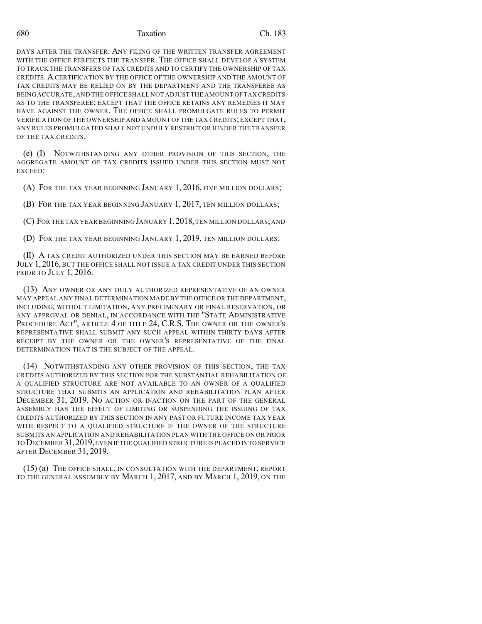DAYS AFTER THE TRANSFER. ANY FILING OF THE WRITTEN TRANSFER AGREEMENT WITH THE OFFICE PERFECTS THE TRANSFER. THE OFFICE SHALL DEVELOP A SYSTEM TO TRACK THE TRANSFERS OF TAX CREDITS AND TO CERTIFY THE OWNERSHIP OF TAX CREDITS.ACERTIFICATION BY THE OFFICE OF THE OWNERSHIP AND THE AMOUNT OF TAX CREDITS MAY BE RELIED ON BY THE DEPARTMENT AND THE TRANSFEREE AS BEINGACCURATE,AND THE OFFICE SHALL NOT ADJUST THE AMOUNT OFTAX CREDITS AS TO THE TRANSFEREE; EXCEPT THAT THE OFFICE RETAINS ANY REMEDIES IT MAY HAVE AGAINST THE OWNER. THE OFFICE SHALL PROMULGATE RULES TO PERMIT VERIFICATION OF THE OWNERSHIP AND AMOUNT OF THE TAX CREDITS;EXCEPT THAT, ANY RULES PROMULGATED SHALL NOT UNDULY RESTRICT OR HINDER THE TRANSFER OF THE TAX CREDITS.

(e) (I) NOTWITHSTANDING ANY OTHER PROVISION OF THIS SECTION, THE AGGREGATE AMOUNT OF TAX CREDITS ISSUED UNDER THIS SECTION MUST NOT EXCEED:

(A) FOR THE TAX YEAR BEGINNING JANUARY 1, 2016, FIVE MILLION DOLLARS;

(B) FOR THE TAX YEAR BEGINNING JANUARY 1, 2017, TEN MILLION DOLLARS;

(C) FOR THE TAX YEAR BEGINNING JANUARY 1, 2018, TEN MILLION DOLLARS; AND

(D) FOR THE TAX YEAR BEGINNING JANUARY 1, 2019, TEN MILLION DOLLARS.

(II) A TAX CREDIT AUTHORIZED UNDER THIS SECTION MAY BE EARNED BEFORE JULY 1, 2016, BUT THE OFFICE SHALL NOT ISSUE A TAX CREDIT UNDER THIS SECTION PRIOR TO JULY 1, 2016.

(13) ANY OWNER OR ANY DULY AUTHORIZED REPRESENTATIVE OF AN OWNER MAY APPEAL ANY FINAL DETERMINATION MADE BY THE OFFICE OR THE DEPARTMENT, INCLUDING, WITHOUT LIMITATION, ANY PRELIMINARY OR FINAL RESERVATION, OR ANY APPROVAL OR DENIAL, IN ACCORDANCE WITH THE "STATE ADMINISTRATIVE PROCEDURE ACT", ARTICLE 4 OF TITLE 24, C.R.S. THE OWNER OR THE OWNER'S REPRESENTATIVE SHALL SUBMIT ANY SUCH APPEAL WITHIN THIRTY DAYS AFTER RECEIPT BY THE OWNER OR THE OWNER'S REPRESENTATIVE OF THE FINAL DETERMINATION THAT IS THE SUBJECT OF THE APPEAL.

(14) NOTWITHSTANDING ANY OTHER PROVISION OF THIS SECTION, THE TAX CREDITS AUTHORIZED BY THIS SECTION FOR THE SUBSTANTIAL REHABILITATION OF A QUALIFIED STRUCTURE ARE NOT AVAILABLE TO AN OWNER OF A QUALIFIED STRUCTURE THAT SUBMITS AN APPLICATION AND REHABILITATION PLAN AFTER DECEMBER 31, 2019. NO ACTION OR INACTION ON THE PART OF THE GENERAL ASSEMBLY HAS THE EFFECT OF LIMITING OR SUSPENDING THE ISSUING OF TAX CREDITS AUTHORIZED BY THIS SECTION IN ANY PAST OR FUTURE INCOME TAX YEAR WITH RESPECT TO A QUALIFIED STRUCTURE IF THE OWNER OF THE STRUCTURE SUBMITS AN APPLICATION AND REHABILITATION PLAN WITH THE OFFICE ON OR PRIOR TO DECEMBER 31,2019,EVEN IFTHE QUALIFIED STRUCTURE IS PLACED INTO SERVICE AFTER DECEMBER 31, 2019.

(15) (a) THE OFFICE SHALL, IN CONSULTATION WITH THE DEPARTMENT, REPORT TO THE GENERAL ASSEMBLY BY MARCH 1, 2017, AND BY MARCH 1, 2019, ON THE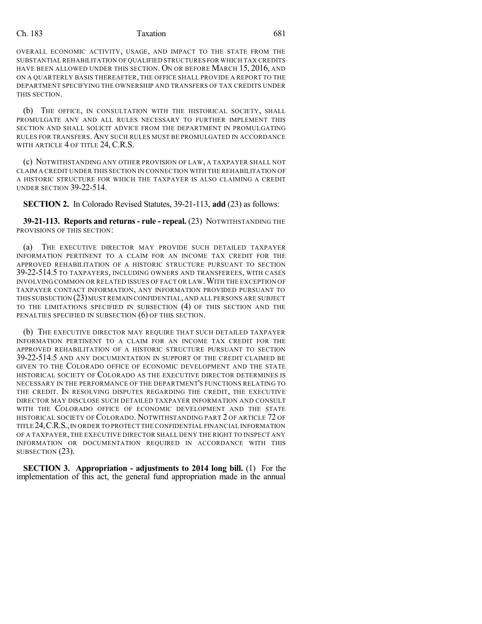OVERALL ECONOMIC ACTIVITY, USAGE, AND IMPACT TO THE STATE FROM THE SUBSTANTIAL REHABILITATION OF QUALIFIED STRUCTURES FOR WHICH TAX CREDITS HAVE BEEN ALLOWED UNDER THIS SECTION. ON OR BEFORE MARCH 15, 2016, AND ON A QUARTERLY BASIS THEREAFTER, THE OFFICE SHALL PROVIDE A REPORT TO THE DEPARTMENT SPECIFYING THE OWNERSHIP AND TRANSFERS OF TAX CREDITS UNDER THIS SECTION.

(b) THE OFFICE, IN CONSULTATION WITH THE HISTORICAL SOCIETY, SHALL PROMULGATE ANY AND ALL RULES NECESSARY TO FURTHER IMPLEMENT THIS SECTION AND SHALL SOLICIT ADVICE FROM THE DEPARTMENT IN PROMULGATING RULES FOR TRANSFERS.ANY SUCH RULES MUST BE PROMULGATED IN ACCORDANCE WITH ARTICLE 4 OF TITLE 24, C.R.S.

(c) NOTWITHSTANDING ANY OTHER PROVISION OF LAW, A TAXPAYER SHALL NOT CLAIM A CREDIT UNDER THIS SECTION IN CONNECTION WITH THE REHABILITATION OF A HISTORIC STRUCTURE FOR WHICH THE TAXPAYER IS ALSO CLAIMING A CREDIT UNDER SECTION 39-22-514.

**SECTION 2.** In Colorado Revised Statutes, 39-21-113, **add** (23) as follows:

**39-21-113. Reports and returns - rule - repeal.** (23) NOTWITHSTANDING THE PROVISIONS OF THIS SECTION:

(a) THE EXECUTIVE DIRECTOR MAY PROVIDE SUCH DETAILED TAXPAYER INFORMATION PERTINENT TO A CLAIM FOR AN INCOME TAX CREDIT FOR THE APPROVED REHABILITATION OF A HISTORIC STRUCTURE PURSUANT TO SECTION 39-22-514.5 TO TAXPAYERS, INCLUDING OWNERS AND TRANSFEREES, WITH CASES INVOLVING COMMON OR RELATED ISSUES OF FACT OR LAW.WITH THE EXCEPTION OF TAXPAYER CONTACT INFORMATION, ANY INFORMATION PROVIDED PURSUANT TO THIS SUBSECTION (23) MUST REMAIN CONFIDENTIAL, AND ALL PERSONS ARE SUBJECT TO THE LIMITATIONS SPECIFIED IN SUBSECTION (4) OF THIS SECTION AND THE PENALTIES SPECIFIED IN SUBSECTION (6) OF THIS SECTION.

(b) THE EXECUTIVE DIRECTOR MAY REQUIRE THAT SUCH DETAILED TAXPAYER INFORMATION PERTINENT TO A CLAIM FOR AN INCOME TAX CREDIT FOR THE APPROVED REHABILITATION OF A HISTORIC STRUCTURE PURSUANT TO SECTION 39-22-514.5 AND ANY DOCUMENTATION IN SUPPORT OF THE CREDIT CLAIMED BE GIVEN TO THE COLORADO OFFICE OF ECONOMIC DEVELOPMENT AND THE STATE HISTORICAL SOCIETY OF COLORADO AS THE EXECUTIVE DIRECTOR DETERMINES IS NECESSARY IN THE PERFORMANCE OF THE DEPARTMENT'S FUNCTIONS RELATING TO THE CREDIT. IN RESOLVING DISPUTES REGARDING THE CREDIT, THE EXECUTIVE DIRECTOR MAY DISCLOSE SUCH DETAILED TAXPAYER INFORMATION AND CONSULT WITH THE COLORADO OFFICE OF ECONOMIC DEVELOPMENT AND THE STATE HISTORICAL SOCIETY OF COLORADO. NOTWITHSTANDING PART 2 OF ARTICLE 72 OF TITLE 24,C.R.S.,IN ORDER TO PROTECT THE CONFIDENTIAL FINANCIAL INFORMATION OF A TAXPAYER, THE EXECUTIVE DIRECTOR SHALL DENY THE RIGHT TO INSPECT ANY INFORMATION OR DOCUMENTATION REQUIRED IN ACCORDANCE WITH THIS SUBSECTION (23).

**SECTION 3. Appropriation - adjustments to 2014 long bill.** (1) For the implementation of this act, the general fund appropriation made in the annual